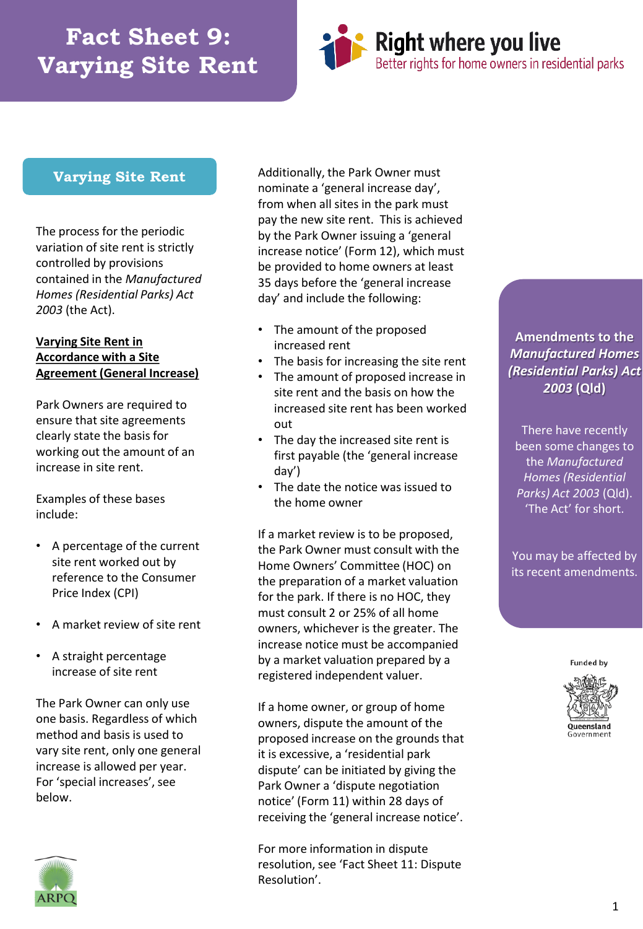## **Fact Sheet 9: Varying Site Rent**



### **Varying Site Rent**

The process for the periodic variation of site rent is strictly controlled by provisions contained in the *Manufactured Homes (Residential Parks) Act 2003* (the Act).

#### **Varying Site Rent in Accordance with a Site Agreement (General Increase)**

Park Owners are required to ensure that site agreements clearly state the basis for working out the amount of an increase in site rent.

Examples of these bases include:

- A percentage of the current site rent worked out by reference to the Consumer Price Index (CPI)
- A market review of site rent
- A straight percentage increase of site rent

The Park Owner can only use one basis. Regardless of which method and basis is used to vary site rent, only one general increase is allowed per year. For 'special increases', see below.



Additionally, the Park Owner must nominate a 'general increase day', from when all sites in the park must pay the new site rent. This is achieved by the Park Owner issuing a 'general increase notice' (Form 12), which must be provided to home owners at least 35 days before the 'general increase day' and include the following:

- The amount of the proposed increased rent
- The basis for increasing the site rent
- The amount of proposed increase in site rent and the basis on how the increased site rent has been worked out
- The day the increased site rent is first payable (the 'general increase day')
- The date the notice was issued to the home owner

If a market review is to be proposed, the Park Owner must consult with the Home Owners' Committee (HOC) on the preparation of a market valuation for the park. If there is no HOC, they must consult 2 or 25% of all home owners, whichever is the greater. The increase notice must be accompanied by a market valuation prepared by a registered independent valuer.

If a home owner, or group of home owners, dispute the amount of the proposed increase on the grounds that it is excessive, a 'residential park dispute' can be initiated by giving the Park Owner a 'dispute negotiation notice' (Form 11) within 28 days of receiving the 'general increase notice'.

For more information in dispute resolution, see 'Fact Sheet 11: Dispute Resolution'.

**Amendments to the**  *Manufactured Homes (Residential Parks) Act 2003* **(Qld)**

There have recently been some changes to the *Manufactured Homes (Residential Parks) Act 2003* (Qld). 'The Act' for short.

You may be affected by its recent amendments.

**Funded by**